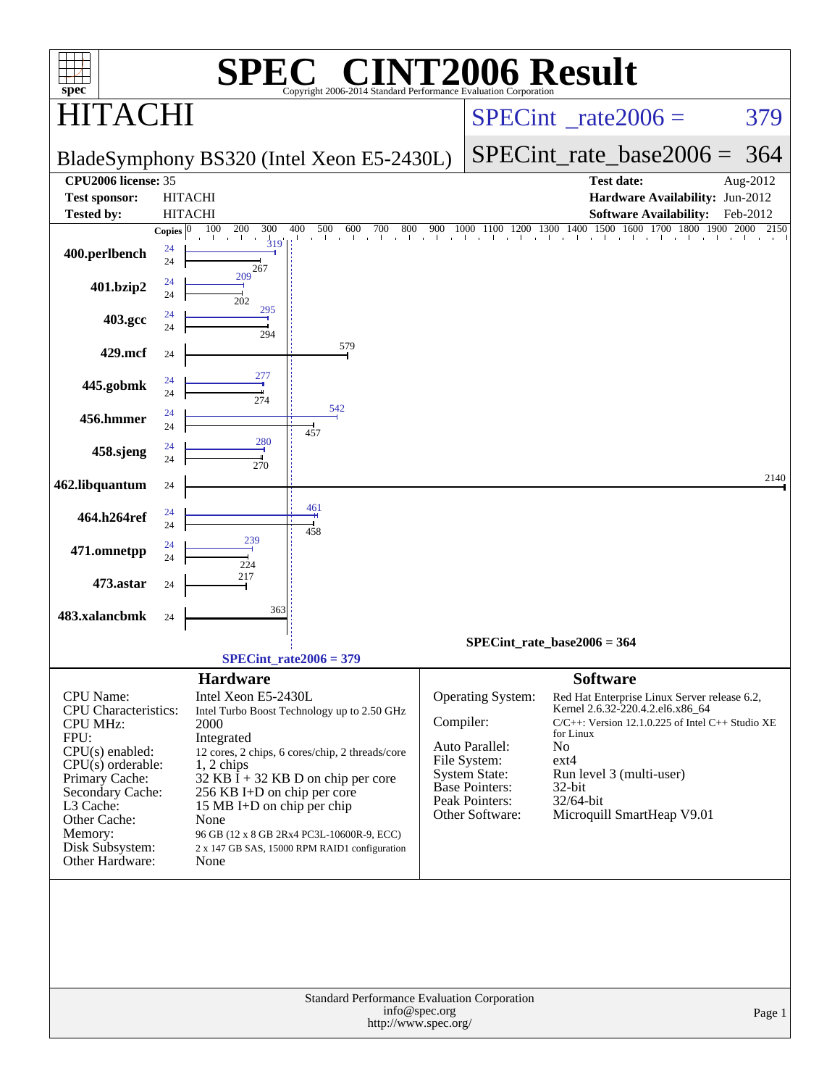| $spec^*$                           | SPI                                    | <b>C® CINT2006 Result</b><br>Н,<br>Copyright 2006-2014 Standard Performance Evaluation Corporation |                                       |                                      |                                                                                                                                                                                                                          |          |
|------------------------------------|----------------------------------------|----------------------------------------------------------------------------------------------------|---------------------------------------|--------------------------------------|--------------------------------------------------------------------------------------------------------------------------------------------------------------------------------------------------------------------------|----------|
| $\mathsf{TA}()$                    |                                        |                                                                                                    |                                       |                                      | $SPECint^{\circ}$ <sub>_rate2006</sub> =                                                                                                                                                                                 | 379      |
|                                    |                                        | BladeSymphony BS320 (Intel Xeon E5-2430L)                                                          |                                       |                                      | SPECint rate base $2006 =$                                                                                                                                                                                               | 364      |
| CPU2006 license: 35                |                                        |                                                                                                    |                                       |                                      | <b>Test date:</b>                                                                                                                                                                                                        | Aug-2012 |
| <b>Test sponsor:</b>               | <b>HITACHI</b>                         |                                                                                                    |                                       |                                      | Hardware Availability: Jun-2012                                                                                                                                                                                          |          |
| <b>Tested by:</b>                  | <b>HITACHI</b>                         |                                                                                                    |                                       |                                      | <b>Software Availability:</b>                                                                                                                                                                                            | Feb-2012 |
| 400.perlbench                      | 100<br>200<br>Copies $ 0 $<br>24<br>24 | 300<br>400<br>600<br>700<br>800<br>500<br>319<br>267                                               | 900                                   |                                      | $1000\quad \overline{1100}\quad \overline{1200}\quad \overline{1300}\quad \overline{1400}\quad \overline{1500}\quad \overline{1600}\quad \overline{1700}\quad \overline{1800}\quad \overline{1900}\quad \overline{2000}$ | 2150     |
| 401.bzip2                          | 209<br>24<br>24<br>202                 |                                                                                                    |                                       |                                      |                                                                                                                                                                                                                          |          |
| 403.gcc                            | 24<br>24                               | 295<br>294                                                                                         |                                       |                                      |                                                                                                                                                                                                                          |          |
| 429.mcf                            | 24                                     | 579                                                                                                |                                       |                                      |                                                                                                                                                                                                                          |          |
| 445.gobmk                          | 24<br>24                               | 277<br>274                                                                                         |                                       |                                      |                                                                                                                                                                                                                          |          |
| 456.hmmer                          | 24<br>24                               | 542<br>457                                                                                         |                                       |                                      |                                                                                                                                                                                                                          |          |
| 458.sjeng                          | 24<br>24                               | 280<br>270                                                                                         |                                       |                                      |                                                                                                                                                                                                                          |          |
| 462.libquantum                     | 24                                     |                                                                                                    |                                       |                                      |                                                                                                                                                                                                                          | 2140     |
| 464.h264ref                        | 24<br>24                               | 461<br>458                                                                                         |                                       |                                      |                                                                                                                                                                                                                          |          |
| 471.omnetpp                        | 239<br>24<br>24<br>224                 |                                                                                                    |                                       |                                      |                                                                                                                                                                                                                          |          |
| 473.astar                          | 217<br>24                              |                                                                                                    |                                       |                                      |                                                                                                                                                                                                                          |          |
| 483.xalancbmk                      | 24                                     | 363                                                                                                |                                       |                                      |                                                                                                                                                                                                                          |          |
|                                    |                                        |                                                                                                    |                                       |                                      | $SPECint_rate_base2006 = 364$                                                                                                                                                                                            |          |
|                                    |                                        | $SPECint_rate2006 = 379$                                                                           |                                       |                                      |                                                                                                                                                                                                                          |          |
| CPU Name:                          | <b>Hardware</b><br>Intel Xeon E5-2430L |                                                                                                    |                                       |                                      | <b>Software</b>                                                                                                                                                                                                          |          |
| <b>CPU</b> Characteristics:        |                                        | Intel Turbo Boost Technology up to 2.50 GHz                                                        |                                       | Operating System:                    | Red Hat Enterprise Linux Server release 6.2,<br>Kernel 2.6.32-220.4.2.el6.x86_64                                                                                                                                         |          |
| <b>CPU MHz:</b>                    | 2000                                   |                                                                                                    | Compiler:                             |                                      | C/C++: Version 12.1.0.225 of Intel C++ Studio XE<br>for Linux                                                                                                                                                            |          |
| FPU:<br>CPU(s) enabled:            | Integrated                             | 12 cores, 2 chips, 6 cores/chip, 2 threads/core                                                    |                                       | Auto Parallel:                       | No                                                                                                                                                                                                                       |          |
| $CPU(s)$ orderable:                | 1, 2 chips                             |                                                                                                    |                                       | File System:<br><b>System State:</b> | ext4<br>Run level 3 (multi-user)                                                                                                                                                                                         |          |
| Primary Cache:<br>Secondary Cache: |                                        | $32$ KB I + 32 KB D on chip per core<br>256 KB I+D on chip per core                                |                                       | <b>Base Pointers:</b>                | 32-bit                                                                                                                                                                                                                   |          |
| L3 Cache:                          |                                        | 15 MB I+D on chip per chip                                                                         |                                       | Peak Pointers:<br>Other Software:    | 32/64-bit<br>Microquill SmartHeap V9.01                                                                                                                                                                                  |          |
| Other Cache:<br>Memory:            | None                                   | 96 GB (12 x 8 GB 2Rx4 PC3L-10600R-9, ECC)                                                          |                                       |                                      |                                                                                                                                                                                                                          |          |
| Disk Subsystem:                    |                                        | 2 x 147 GB SAS, 15000 RPM RAID1 configuration                                                      |                                       |                                      |                                                                                                                                                                                                                          |          |
| Other Hardware:                    | None                                   |                                                                                                    |                                       |                                      |                                                                                                                                                                                                                          |          |
|                                    |                                        |                                                                                                    |                                       |                                      |                                                                                                                                                                                                                          |          |
|                                    |                                        |                                                                                                    |                                       |                                      |                                                                                                                                                                                                                          |          |
|                                    |                                        |                                                                                                    |                                       |                                      |                                                                                                                                                                                                                          |          |
|                                    |                                        |                                                                                                    |                                       |                                      |                                                                                                                                                                                                                          |          |
|                                    |                                        |                                                                                                    |                                       |                                      |                                                                                                                                                                                                                          |          |
|                                    |                                        | Standard Performance Evaluation Corporation                                                        |                                       |                                      |                                                                                                                                                                                                                          |          |
|                                    |                                        |                                                                                                    | info@spec.org<br>http://www.spec.org/ |                                      |                                                                                                                                                                                                                          | Page 1   |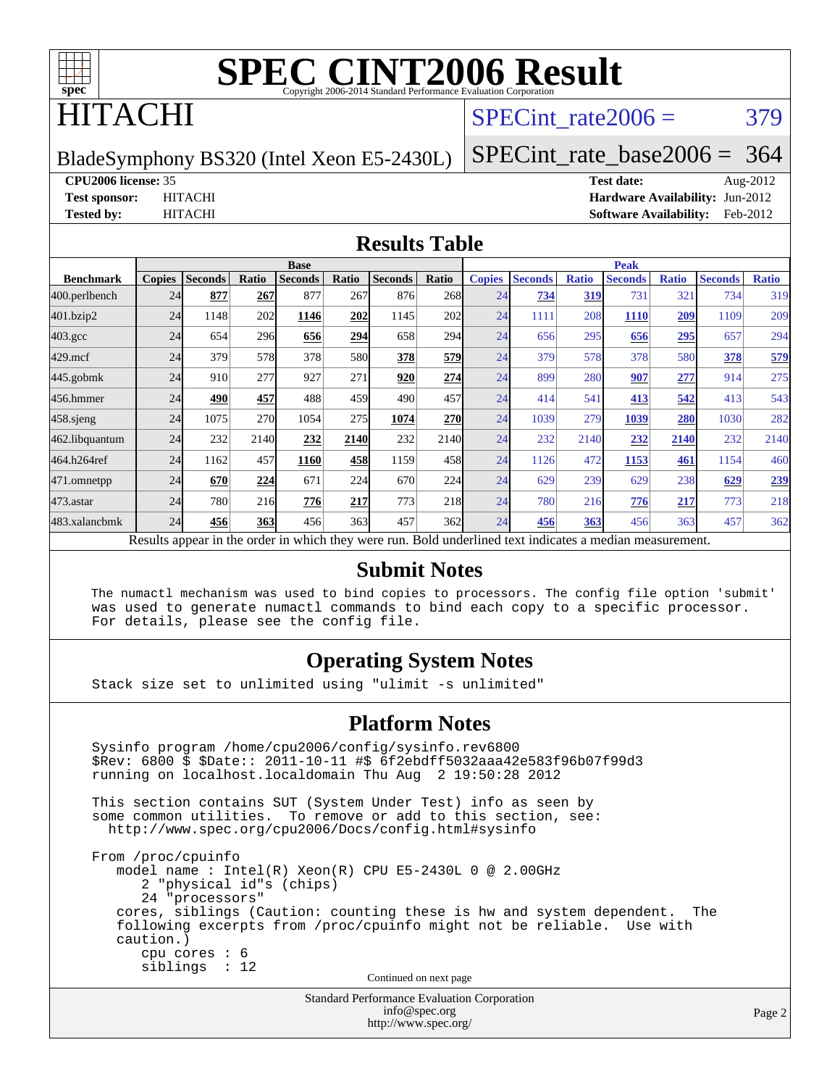

## ITACHI

## SPECint rate $2006 = 379$

BladeSymphony BS320 (Intel Xeon E5-2430L)

[SPECint\\_rate\\_base2006 =](http://www.spec.org/auto/cpu2006/Docs/result-fields.html#SPECintratebase2006) 364

#### **[CPU2006 license:](http://www.spec.org/auto/cpu2006/Docs/result-fields.html#CPU2006license)** 35 **[Test date:](http://www.spec.org/auto/cpu2006/Docs/result-fields.html#Testdate)** Aug-2012

**[Test sponsor:](http://www.spec.org/auto/cpu2006/Docs/result-fields.html#Testsponsor)** HITACHI **[Hardware Availability:](http://www.spec.org/auto/cpu2006/Docs/result-fields.html#HardwareAvailability)** Jun-2012 **[Tested by:](http://www.spec.org/auto/cpu2006/Docs/result-fields.html#Testedby)** HITACHI **[Software Availability:](http://www.spec.org/auto/cpu2006/Docs/result-fields.html#SoftwareAvailability)** Feb-2012

#### **[Results Table](http://www.spec.org/auto/cpu2006/Docs/result-fields.html#ResultsTable)**

|                    |               |                |       | <b>Base</b>                                                                                              |       |                |            |               |                |              | <b>Peak</b>    |              |                |              |
|--------------------|---------------|----------------|-------|----------------------------------------------------------------------------------------------------------|-------|----------------|------------|---------------|----------------|--------------|----------------|--------------|----------------|--------------|
| <b>Benchmark</b>   | <b>Copies</b> | <b>Seconds</b> | Ratio | <b>Seconds</b>                                                                                           | Ratio | <b>Seconds</b> | Ratio      | <b>Copies</b> | <b>Seconds</b> | <b>Ratio</b> | <b>Seconds</b> | <b>Ratio</b> | <b>Seconds</b> | <b>Ratio</b> |
| 400.perlbench      | 24            | 877            | 267   | 877                                                                                                      | 267   | 876            | 268        | 24            | 734            | 319          | 731            | 321          | 734            | 319          |
| 401.bzip2          | 24            | 1148           | 202   | 1146                                                                                                     | 202   | 1145           | 202        | 24            | 1111           | 208          | 1110           | 209          | 1109           | 209          |
| $403.\mathrm{gcc}$ | 24            | 654            | 296   | 656                                                                                                      | 294   | 658            | 294        | 24            | 656            | 295          | 656            | 295          | 657            | 294          |
| $429$ .mcf         | 24            | 379            | 578   | 378                                                                                                      | 580   | 378            | 579        | 24            | 379            | 578          | 378            | 580          | 378            | 579          |
| $445$ .gobmk       | 24            | 910            | 277   | 927                                                                                                      | 271   | 920            | 274        | 24            | 899            | 280          | 907            | <u>277</u>   | 914            | 275          |
| 456.hmmer          | 24            | 490            | 457   | 488                                                                                                      | 459   | 490            | 457        | 24            | 414            | 541          | 413            | 542          | 413            | 543          |
| $458$ .sjeng       | 24            | 1075           | 270   | 1054                                                                                                     | 275   | 1074           | <b>270</b> | 24            | 1039           | 279          | 1039           | 280          | 1030           | 282          |
| 462.libquantum     | 24            | 232            | 2140  | 232                                                                                                      | 2140  | 232            | 2140       | 24            | 232            | 2140         | 232            | 2140         | 232            | 2140         |
| 464.h264ref        | 24            | 1162           | 457   | 1160                                                                                                     | 458   | 1159           | 458        | 24            | 1126           | 472          | 1153           | 461          | 1154           | 460          |
| 471.omnetpp        | 24            | 670            | 224   | 671                                                                                                      | 224   | 670            | 224        | 24            | 629            | 239          | 629            | 238          | 629            | 239          |
| $473$ . astar      | 24            | 780            | 216   | 776                                                                                                      | 217   | 773            | 218        | 24            | 780            | 216          | 776            | 217          | 773            | 218          |
| 483.xalancbmk      | 24            | 456            | 363   | 456                                                                                                      | 363   | 457            | 362        | 24            | 456            | 363          | 456            | 363          | 457            | 362          |
|                    |               |                |       | Results appear in the order in which they were run. Bold underlined text indicates a median measurement. |       |                |            |               |                |              |                |              |                |              |

#### **[Submit Notes](http://www.spec.org/auto/cpu2006/Docs/result-fields.html#SubmitNotes)**

 The numactl mechanism was used to bind copies to processors. The config file option 'submit' was used to generate numactl commands to bind each copy to a specific processor. For details, please see the config file.

### **[Operating System Notes](http://www.spec.org/auto/cpu2006/Docs/result-fields.html#OperatingSystemNotes)**

Stack size set to unlimited using "ulimit -s unlimited"

#### **[Platform Notes](http://www.spec.org/auto/cpu2006/Docs/result-fields.html#PlatformNotes)**

Standard Performance Evaluation Corporation Sysinfo program /home/cpu2006/config/sysinfo.rev6800 \$Rev: 6800 \$ \$Date:: 2011-10-11 #\$ 6f2ebdff5032aaa42e583f96b07f99d3 running on localhost.localdomain Thu Aug 2 19:50:28 2012 This section contains SUT (System Under Test) info as seen by some common utilities. To remove or add to this section, see: <http://www.spec.org/cpu2006/Docs/config.html#sysinfo> From /proc/cpuinfo model name : Intel(R) Xeon(R) CPU E5-2430L 0 @ 2.00GHz 2 "physical id"s (chips) 24 "processors" cores, siblings (Caution: counting these is hw and system dependent. The following excerpts from /proc/cpuinfo might not be reliable. Use with caution.) cpu cores : 6 siblings : 12 Continued on next page

[info@spec.org](mailto:info@spec.org) <http://www.spec.org/>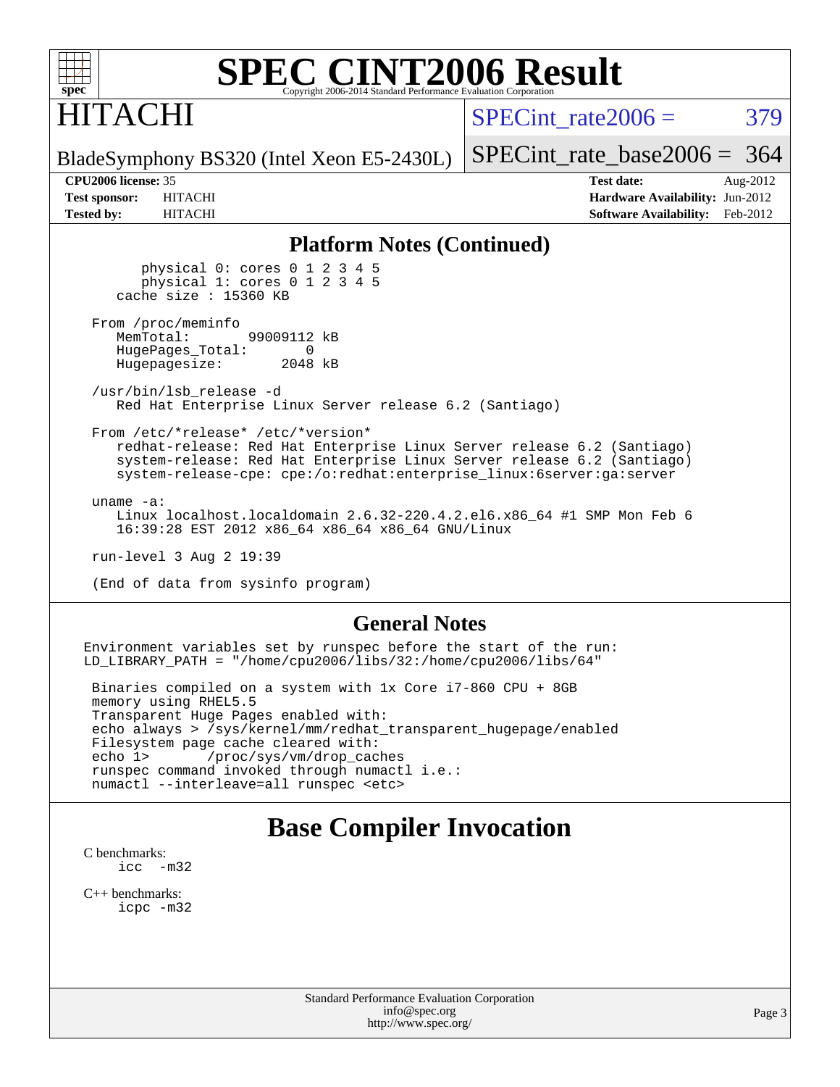

# ITACHI

SPECint rate $2006 = 379$ 

[SPECint\\_rate\\_base2006 =](http://www.spec.org/auto/cpu2006/Docs/result-fields.html#SPECintratebase2006) 364

BladeSymphony BS320 (Intel Xeon E5-2430L)

**[CPU2006 license:](http://www.spec.org/auto/cpu2006/Docs/result-fields.html#CPU2006license)** 35 **[Test date:](http://www.spec.org/auto/cpu2006/Docs/result-fields.html#Testdate)** Aug-2012 **[Test sponsor:](http://www.spec.org/auto/cpu2006/Docs/result-fields.html#Testsponsor)** HITACHI **[Hardware Availability:](http://www.spec.org/auto/cpu2006/Docs/result-fields.html#HardwareAvailability)** Jun-2012 **[Tested by:](http://www.spec.org/auto/cpu2006/Docs/result-fields.html#Testedby)** HITACHI **[Software Availability:](http://www.spec.org/auto/cpu2006/Docs/result-fields.html#SoftwareAvailability)** Feb-2012

#### **[Platform Notes \(Continued\)](http://www.spec.org/auto/cpu2006/Docs/result-fields.html#PlatformNotes)**

 physical 0: cores 0 1 2 3 4 5 physical 1: cores 0 1 2 3 4 5 cache size : 15360 KB

From /proc/meminfo<br>MemTotal: 99009112 kB HugePages\_Total: 0<br>Hugepagesize: 2048 kB Hugepagesize:

 /usr/bin/lsb\_release -d Red Hat Enterprise Linux Server release 6.2 (Santiago)

From /etc/\*release\* /etc/\*version\*

 redhat-release: Red Hat Enterprise Linux Server release 6.2 (Santiago) system-release: Red Hat Enterprise Linux Server release 6.2 (Santiago) system-release-cpe: cpe:/o:redhat:enterprise\_linux:6server:ga:server

 uname -a: Linux localhost.localdomain 2.6.32-220.4.2.el6.x86\_64 #1 SMP Mon Feb 6 16:39:28 EST 2012 x86\_64 x86\_64 x86\_64 GNU/Linux

run-level 3 Aug 2 19:39

(End of data from sysinfo program)

#### **[General Notes](http://www.spec.org/auto/cpu2006/Docs/result-fields.html#GeneralNotes)**

Environment variables set by runspec before the start of the run: LD\_LIBRARY\_PATH = "/home/cpu2006/libs/32:/home/cpu2006/libs/64"

 Binaries compiled on a system with 1x Core i7-860 CPU + 8GB memory using RHEL5.5 Transparent Huge Pages enabled with: echo always > /sys/kernel/mm/redhat\_transparent\_hugepage/enabled Filesystem page cache cleared with: echo 1> /proc/sys/vm/drop\_caches runspec command invoked through numactl i.e.: numactl --interleave=all runspec <etc>

## **[Base Compiler Invocation](http://www.spec.org/auto/cpu2006/Docs/result-fields.html#BaseCompilerInvocation)**

[C benchmarks](http://www.spec.org/auto/cpu2006/Docs/result-fields.html#Cbenchmarks): [icc -m32](http://www.spec.org/cpu2006/results/res2012q3/cpu2006-20120813-24199.flags.html#user_CCbase_intel_icc_5ff4a39e364c98233615fdd38438c6f2)

[C++ benchmarks:](http://www.spec.org/auto/cpu2006/Docs/result-fields.html#CXXbenchmarks) [icpc -m32](http://www.spec.org/cpu2006/results/res2012q3/cpu2006-20120813-24199.flags.html#user_CXXbase_intel_icpc_4e5a5ef1a53fd332b3c49e69c3330699)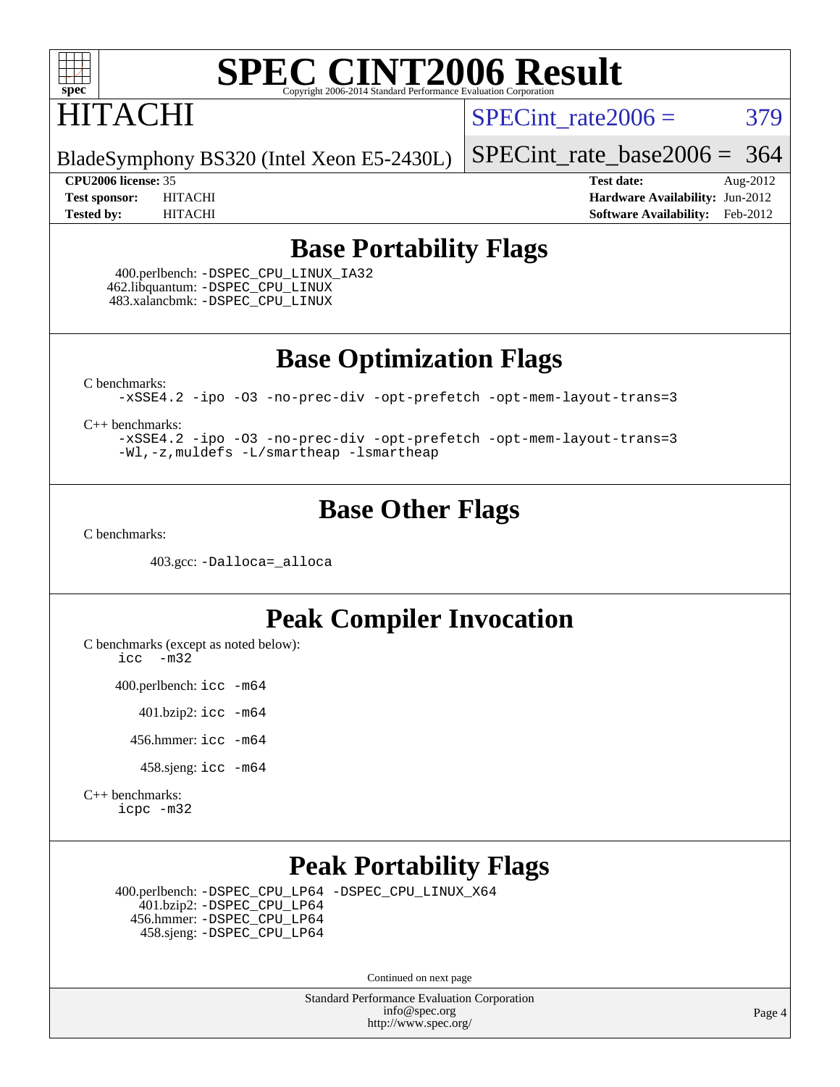

# **HITACHI**

SPECint rate $2006 = 379$ 

BladeSymphony BS320 (Intel Xeon E5-2430L)

[SPECint\\_rate\\_base2006 =](http://www.spec.org/auto/cpu2006/Docs/result-fields.html#SPECintratebase2006) 364

**[CPU2006 license:](http://www.spec.org/auto/cpu2006/Docs/result-fields.html#CPU2006license)** 35 **[Test date:](http://www.spec.org/auto/cpu2006/Docs/result-fields.html#Testdate)** Aug-2012 **[Test sponsor:](http://www.spec.org/auto/cpu2006/Docs/result-fields.html#Testsponsor)** HITACHI **[Hardware Availability:](http://www.spec.org/auto/cpu2006/Docs/result-fields.html#HardwareAvailability)** Jun-2012 **[Tested by:](http://www.spec.org/auto/cpu2006/Docs/result-fields.html#Testedby)** HITACHI **[Software Availability:](http://www.spec.org/auto/cpu2006/Docs/result-fields.html#SoftwareAvailability)** Feb-2012

### **[Base Portability Flags](http://www.spec.org/auto/cpu2006/Docs/result-fields.html#BasePortabilityFlags)**

 400.perlbench: [-DSPEC\\_CPU\\_LINUX\\_IA32](http://www.spec.org/cpu2006/results/res2012q3/cpu2006-20120813-24199.flags.html#b400.perlbench_baseCPORTABILITY_DSPEC_CPU_LINUX_IA32) 462.libquantum: [-DSPEC\\_CPU\\_LINUX](http://www.spec.org/cpu2006/results/res2012q3/cpu2006-20120813-24199.flags.html#b462.libquantum_baseCPORTABILITY_DSPEC_CPU_LINUX) 483.xalancbmk: [-DSPEC\\_CPU\\_LINUX](http://www.spec.org/cpu2006/results/res2012q3/cpu2006-20120813-24199.flags.html#b483.xalancbmk_baseCXXPORTABILITY_DSPEC_CPU_LINUX)

**[Base Optimization Flags](http://www.spec.org/auto/cpu2006/Docs/result-fields.html#BaseOptimizationFlags)**

[C benchmarks](http://www.spec.org/auto/cpu2006/Docs/result-fields.html#Cbenchmarks):

[-xSSE4.2](http://www.spec.org/cpu2006/results/res2012q3/cpu2006-20120813-24199.flags.html#user_CCbase_f-xSSE42_f91528193cf0b216347adb8b939d4107) [-ipo](http://www.spec.org/cpu2006/results/res2012q3/cpu2006-20120813-24199.flags.html#user_CCbase_f-ipo) [-O3](http://www.spec.org/cpu2006/results/res2012q3/cpu2006-20120813-24199.flags.html#user_CCbase_f-O3) [-no-prec-div](http://www.spec.org/cpu2006/results/res2012q3/cpu2006-20120813-24199.flags.html#user_CCbase_f-no-prec-div) [-opt-prefetch](http://www.spec.org/cpu2006/results/res2012q3/cpu2006-20120813-24199.flags.html#user_CCbase_f-opt-prefetch) [-opt-mem-layout-trans=3](http://www.spec.org/cpu2006/results/res2012q3/cpu2006-20120813-24199.flags.html#user_CCbase_f-opt-mem-layout-trans_a7b82ad4bd7abf52556d4961a2ae94d5)

[C++ benchmarks:](http://www.spec.org/auto/cpu2006/Docs/result-fields.html#CXXbenchmarks)

[-xSSE4.2](http://www.spec.org/cpu2006/results/res2012q3/cpu2006-20120813-24199.flags.html#user_CXXbase_f-xSSE42_f91528193cf0b216347adb8b939d4107) [-ipo](http://www.spec.org/cpu2006/results/res2012q3/cpu2006-20120813-24199.flags.html#user_CXXbase_f-ipo) [-O3](http://www.spec.org/cpu2006/results/res2012q3/cpu2006-20120813-24199.flags.html#user_CXXbase_f-O3) [-no-prec-div](http://www.spec.org/cpu2006/results/res2012q3/cpu2006-20120813-24199.flags.html#user_CXXbase_f-no-prec-div) [-opt-prefetch](http://www.spec.org/cpu2006/results/res2012q3/cpu2006-20120813-24199.flags.html#user_CXXbase_f-opt-prefetch) [-opt-mem-layout-trans=3](http://www.spec.org/cpu2006/results/res2012q3/cpu2006-20120813-24199.flags.html#user_CXXbase_f-opt-mem-layout-trans_a7b82ad4bd7abf52556d4961a2ae94d5) [-Wl,-z,muldefs](http://www.spec.org/cpu2006/results/res2012q3/cpu2006-20120813-24199.flags.html#user_CXXbase_link_force_multiple1_74079c344b956b9658436fd1b6dd3a8a) [-L/smartheap -lsmartheap](http://www.spec.org/cpu2006/results/res2012q3/cpu2006-20120813-24199.flags.html#user_CXXbase_SmartHeap_7c9e394a5779e1a7fec7c221e123830c)

### **[Base Other Flags](http://www.spec.org/auto/cpu2006/Docs/result-fields.html#BaseOtherFlags)**

[C benchmarks](http://www.spec.org/auto/cpu2006/Docs/result-fields.html#Cbenchmarks):

403.gcc: [-Dalloca=\\_alloca](http://www.spec.org/cpu2006/results/res2012q3/cpu2006-20120813-24199.flags.html#b403.gcc_baseEXTRA_CFLAGS_Dalloca_be3056838c12de2578596ca5467af7f3)

## **[Peak Compiler Invocation](http://www.spec.org/auto/cpu2006/Docs/result-fields.html#PeakCompilerInvocation)**

[C benchmarks \(except as noted below\)](http://www.spec.org/auto/cpu2006/Docs/result-fields.html#Cbenchmarksexceptasnotedbelow):

[icc -m32](http://www.spec.org/cpu2006/results/res2012q3/cpu2006-20120813-24199.flags.html#user_CCpeak_intel_icc_5ff4a39e364c98233615fdd38438c6f2)

400.perlbench: [icc -m64](http://www.spec.org/cpu2006/results/res2012q3/cpu2006-20120813-24199.flags.html#user_peakCCLD400_perlbench_intel_icc_64bit_bda6cc9af1fdbb0edc3795bac97ada53)

401.bzip2: [icc -m64](http://www.spec.org/cpu2006/results/res2012q3/cpu2006-20120813-24199.flags.html#user_peakCCLD401_bzip2_intel_icc_64bit_bda6cc9af1fdbb0edc3795bac97ada53)

456.hmmer: [icc -m64](http://www.spec.org/cpu2006/results/res2012q3/cpu2006-20120813-24199.flags.html#user_peakCCLD456_hmmer_intel_icc_64bit_bda6cc9af1fdbb0edc3795bac97ada53)

458.sjeng: [icc -m64](http://www.spec.org/cpu2006/results/res2012q3/cpu2006-20120813-24199.flags.html#user_peakCCLD458_sjeng_intel_icc_64bit_bda6cc9af1fdbb0edc3795bac97ada53)

[C++ benchmarks:](http://www.spec.org/auto/cpu2006/Docs/result-fields.html#CXXbenchmarks) [icpc -m32](http://www.spec.org/cpu2006/results/res2012q3/cpu2006-20120813-24199.flags.html#user_CXXpeak_intel_icpc_4e5a5ef1a53fd332b3c49e69c3330699)

## **[Peak Portability Flags](http://www.spec.org/auto/cpu2006/Docs/result-fields.html#PeakPortabilityFlags)**

 400.perlbench: [-DSPEC\\_CPU\\_LP64](http://www.spec.org/cpu2006/results/res2012q3/cpu2006-20120813-24199.flags.html#b400.perlbench_peakCPORTABILITY_DSPEC_CPU_LP64) [-DSPEC\\_CPU\\_LINUX\\_X64](http://www.spec.org/cpu2006/results/res2012q3/cpu2006-20120813-24199.flags.html#b400.perlbench_peakCPORTABILITY_DSPEC_CPU_LINUX_X64) 401.bzip2: [-DSPEC\\_CPU\\_LP64](http://www.spec.org/cpu2006/results/res2012q3/cpu2006-20120813-24199.flags.html#suite_peakCPORTABILITY401_bzip2_DSPEC_CPU_LP64) 456.hmmer: [-DSPEC\\_CPU\\_LP64](http://www.spec.org/cpu2006/results/res2012q3/cpu2006-20120813-24199.flags.html#suite_peakCPORTABILITY456_hmmer_DSPEC_CPU_LP64) 458.sjeng: [-DSPEC\\_CPU\\_LP64](http://www.spec.org/cpu2006/results/res2012q3/cpu2006-20120813-24199.flags.html#suite_peakCPORTABILITY458_sjeng_DSPEC_CPU_LP64)

Continued on next page

Standard Performance Evaluation Corporation [info@spec.org](mailto:info@spec.org) <http://www.spec.org/>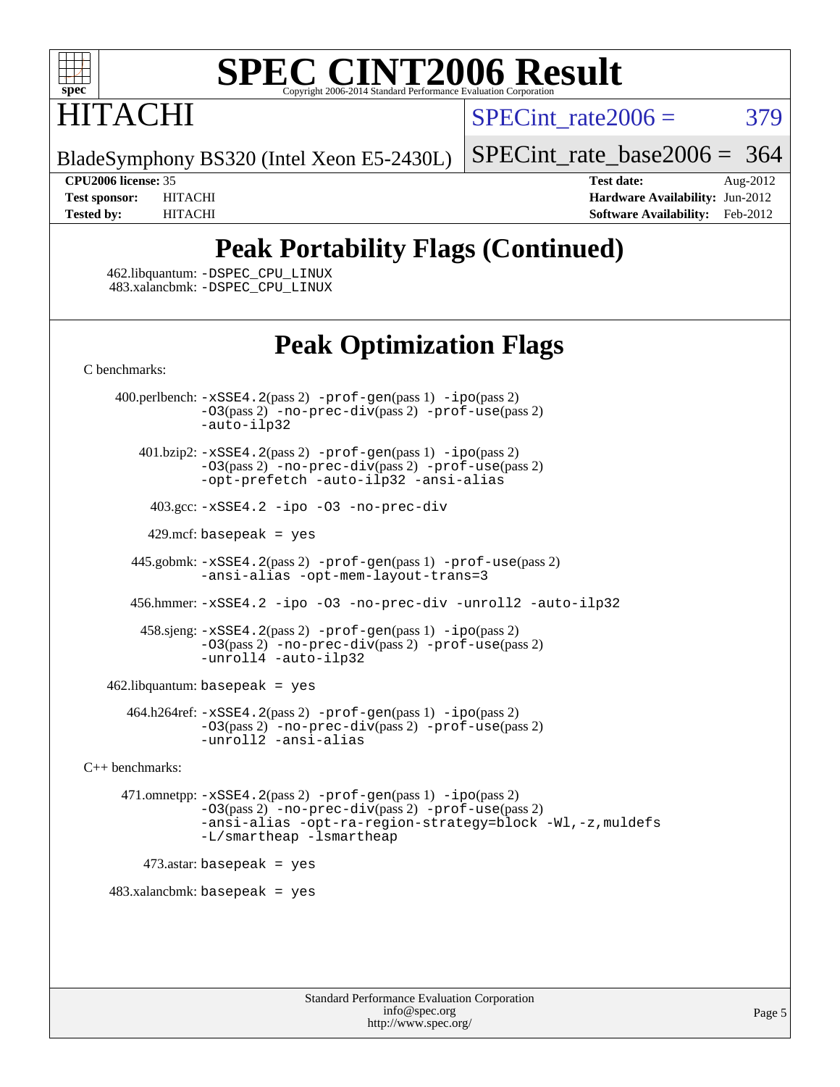

# HITACHI

SPECint rate $2006 = 379$ 

BladeSymphony BS320 (Intel Xeon E5-2430L)

[SPECint\\_rate\\_base2006 =](http://www.spec.org/auto/cpu2006/Docs/result-fields.html#SPECintratebase2006) 364

**[CPU2006 license:](http://www.spec.org/auto/cpu2006/Docs/result-fields.html#CPU2006license)** 35 **[Test date:](http://www.spec.org/auto/cpu2006/Docs/result-fields.html#Testdate)** Aug-2012 **[Test sponsor:](http://www.spec.org/auto/cpu2006/Docs/result-fields.html#Testsponsor)** HITACHI **[Hardware Availability:](http://www.spec.org/auto/cpu2006/Docs/result-fields.html#HardwareAvailability)** Jun-2012 **[Tested by:](http://www.spec.org/auto/cpu2006/Docs/result-fields.html#Testedby)** HITACHI **[Software Availability:](http://www.spec.org/auto/cpu2006/Docs/result-fields.html#SoftwareAvailability)** Feb-2012

## **[Peak Portability Flags \(Continued\)](http://www.spec.org/auto/cpu2006/Docs/result-fields.html#PeakPortabilityFlags)**

 462.libquantum: [-DSPEC\\_CPU\\_LINUX](http://www.spec.org/cpu2006/results/res2012q3/cpu2006-20120813-24199.flags.html#b462.libquantum_peakCPORTABILITY_DSPEC_CPU_LINUX) 483.xalancbmk: [-DSPEC\\_CPU\\_LINUX](http://www.spec.org/cpu2006/results/res2012q3/cpu2006-20120813-24199.flags.html#b483.xalancbmk_peakCXXPORTABILITY_DSPEC_CPU_LINUX)

## **[Peak Optimization Flags](http://www.spec.org/auto/cpu2006/Docs/result-fields.html#PeakOptimizationFlags)**

[C benchmarks](http://www.spec.org/auto/cpu2006/Docs/result-fields.html#Cbenchmarks):

 400.perlbench: [-xSSE4.2](http://www.spec.org/cpu2006/results/res2012q3/cpu2006-20120813-24199.flags.html#user_peakPASS2_CFLAGSPASS2_LDCFLAGS400_perlbench_f-xSSE42_f91528193cf0b216347adb8b939d4107)(pass 2) [-prof-gen](http://www.spec.org/cpu2006/results/res2012q3/cpu2006-20120813-24199.flags.html#user_peakPASS1_CFLAGSPASS1_LDCFLAGS400_perlbench_prof_gen_e43856698f6ca7b7e442dfd80e94a8fc)(pass 1) [-ipo](http://www.spec.org/cpu2006/results/res2012q3/cpu2006-20120813-24199.flags.html#user_peakPASS2_CFLAGSPASS2_LDCFLAGS400_perlbench_f-ipo)(pass 2) [-O3](http://www.spec.org/cpu2006/results/res2012q3/cpu2006-20120813-24199.flags.html#user_peakPASS2_CFLAGSPASS2_LDCFLAGS400_perlbench_f-O3)(pass 2) [-no-prec-div](http://www.spec.org/cpu2006/results/res2012q3/cpu2006-20120813-24199.flags.html#user_peakPASS2_CFLAGSPASS2_LDCFLAGS400_perlbench_f-no-prec-div)(pass 2) [-prof-use](http://www.spec.org/cpu2006/results/res2012q3/cpu2006-20120813-24199.flags.html#user_peakPASS2_CFLAGSPASS2_LDCFLAGS400_perlbench_prof_use_bccf7792157ff70d64e32fe3e1250b55)(pass 2) [-auto-ilp32](http://www.spec.org/cpu2006/results/res2012q3/cpu2006-20120813-24199.flags.html#user_peakCOPTIMIZE400_perlbench_f-auto-ilp32) 401.bzip2: [-xSSE4.2](http://www.spec.org/cpu2006/results/res2012q3/cpu2006-20120813-24199.flags.html#user_peakPASS2_CFLAGSPASS2_LDCFLAGS401_bzip2_f-xSSE42_f91528193cf0b216347adb8b939d4107)(pass 2) [-prof-gen](http://www.spec.org/cpu2006/results/res2012q3/cpu2006-20120813-24199.flags.html#user_peakPASS1_CFLAGSPASS1_LDCFLAGS401_bzip2_prof_gen_e43856698f6ca7b7e442dfd80e94a8fc)(pass 1) [-ipo](http://www.spec.org/cpu2006/results/res2012q3/cpu2006-20120813-24199.flags.html#user_peakPASS2_CFLAGSPASS2_LDCFLAGS401_bzip2_f-ipo)(pass 2) [-O3](http://www.spec.org/cpu2006/results/res2012q3/cpu2006-20120813-24199.flags.html#user_peakPASS2_CFLAGSPASS2_LDCFLAGS401_bzip2_f-O3)(pass 2) [-no-prec-div](http://www.spec.org/cpu2006/results/res2012q3/cpu2006-20120813-24199.flags.html#user_peakPASS2_CFLAGSPASS2_LDCFLAGS401_bzip2_f-no-prec-div)(pass 2) [-prof-use](http://www.spec.org/cpu2006/results/res2012q3/cpu2006-20120813-24199.flags.html#user_peakPASS2_CFLAGSPASS2_LDCFLAGS401_bzip2_prof_use_bccf7792157ff70d64e32fe3e1250b55)(pass 2) [-opt-prefetch](http://www.spec.org/cpu2006/results/res2012q3/cpu2006-20120813-24199.flags.html#user_peakCOPTIMIZE401_bzip2_f-opt-prefetch) [-auto-ilp32](http://www.spec.org/cpu2006/results/res2012q3/cpu2006-20120813-24199.flags.html#user_peakCOPTIMIZE401_bzip2_f-auto-ilp32) [-ansi-alias](http://www.spec.org/cpu2006/results/res2012q3/cpu2006-20120813-24199.flags.html#user_peakCOPTIMIZE401_bzip2_f-ansi-alias) 403.gcc: [-xSSE4.2](http://www.spec.org/cpu2006/results/res2012q3/cpu2006-20120813-24199.flags.html#user_peakCOPTIMIZE403_gcc_f-xSSE42_f91528193cf0b216347adb8b939d4107) [-ipo](http://www.spec.org/cpu2006/results/res2012q3/cpu2006-20120813-24199.flags.html#user_peakCOPTIMIZE403_gcc_f-ipo) [-O3](http://www.spec.org/cpu2006/results/res2012q3/cpu2006-20120813-24199.flags.html#user_peakCOPTIMIZE403_gcc_f-O3) [-no-prec-div](http://www.spec.org/cpu2006/results/res2012q3/cpu2006-20120813-24199.flags.html#user_peakCOPTIMIZE403_gcc_f-no-prec-div) 429.mcf: basepeak = yes 445.gobmk: [-xSSE4.2](http://www.spec.org/cpu2006/results/res2012q3/cpu2006-20120813-24199.flags.html#user_peakPASS2_CFLAGSPASS2_LDCFLAGS445_gobmk_f-xSSE42_f91528193cf0b216347adb8b939d4107)(pass 2) [-prof-gen](http://www.spec.org/cpu2006/results/res2012q3/cpu2006-20120813-24199.flags.html#user_peakPASS1_CFLAGSPASS1_LDCFLAGS445_gobmk_prof_gen_e43856698f6ca7b7e442dfd80e94a8fc)(pass 1) [-prof-use](http://www.spec.org/cpu2006/results/res2012q3/cpu2006-20120813-24199.flags.html#user_peakPASS2_CFLAGSPASS2_LDCFLAGS445_gobmk_prof_use_bccf7792157ff70d64e32fe3e1250b55)(pass 2) [-ansi-alias](http://www.spec.org/cpu2006/results/res2012q3/cpu2006-20120813-24199.flags.html#user_peakCOPTIMIZE445_gobmk_f-ansi-alias) [-opt-mem-layout-trans=3](http://www.spec.org/cpu2006/results/res2012q3/cpu2006-20120813-24199.flags.html#user_peakCOPTIMIZE445_gobmk_f-opt-mem-layout-trans_a7b82ad4bd7abf52556d4961a2ae94d5) 456.hmmer: [-xSSE4.2](http://www.spec.org/cpu2006/results/res2012q3/cpu2006-20120813-24199.flags.html#user_peakCOPTIMIZE456_hmmer_f-xSSE42_f91528193cf0b216347adb8b939d4107) [-ipo](http://www.spec.org/cpu2006/results/res2012q3/cpu2006-20120813-24199.flags.html#user_peakCOPTIMIZE456_hmmer_f-ipo) [-O3](http://www.spec.org/cpu2006/results/res2012q3/cpu2006-20120813-24199.flags.html#user_peakCOPTIMIZE456_hmmer_f-O3) [-no-prec-div](http://www.spec.org/cpu2006/results/res2012q3/cpu2006-20120813-24199.flags.html#user_peakCOPTIMIZE456_hmmer_f-no-prec-div) [-unroll2](http://www.spec.org/cpu2006/results/res2012q3/cpu2006-20120813-24199.flags.html#user_peakCOPTIMIZE456_hmmer_f-unroll_784dae83bebfb236979b41d2422d7ec2) [-auto-ilp32](http://www.spec.org/cpu2006/results/res2012q3/cpu2006-20120813-24199.flags.html#user_peakCOPTIMIZE456_hmmer_f-auto-ilp32) 458.sjeng: [-xSSE4.2](http://www.spec.org/cpu2006/results/res2012q3/cpu2006-20120813-24199.flags.html#user_peakPASS2_CFLAGSPASS2_LDCFLAGS458_sjeng_f-xSSE42_f91528193cf0b216347adb8b939d4107)(pass 2) [-prof-gen](http://www.spec.org/cpu2006/results/res2012q3/cpu2006-20120813-24199.flags.html#user_peakPASS1_CFLAGSPASS1_LDCFLAGS458_sjeng_prof_gen_e43856698f6ca7b7e442dfd80e94a8fc)(pass 1) [-ipo](http://www.spec.org/cpu2006/results/res2012q3/cpu2006-20120813-24199.flags.html#user_peakPASS2_CFLAGSPASS2_LDCFLAGS458_sjeng_f-ipo)(pass 2) [-O3](http://www.spec.org/cpu2006/results/res2012q3/cpu2006-20120813-24199.flags.html#user_peakPASS2_CFLAGSPASS2_LDCFLAGS458_sjeng_f-O3)(pass 2) [-no-prec-div](http://www.spec.org/cpu2006/results/res2012q3/cpu2006-20120813-24199.flags.html#user_peakPASS2_CFLAGSPASS2_LDCFLAGS458_sjeng_f-no-prec-div)(pass 2) [-prof-use](http://www.spec.org/cpu2006/results/res2012q3/cpu2006-20120813-24199.flags.html#user_peakPASS2_CFLAGSPASS2_LDCFLAGS458_sjeng_prof_use_bccf7792157ff70d64e32fe3e1250b55)(pass 2) [-unroll4](http://www.spec.org/cpu2006/results/res2012q3/cpu2006-20120813-24199.flags.html#user_peakCOPTIMIZE458_sjeng_f-unroll_4e5e4ed65b7fd20bdcd365bec371b81f) [-auto-ilp32](http://www.spec.org/cpu2006/results/res2012q3/cpu2006-20120813-24199.flags.html#user_peakCOPTIMIZE458_sjeng_f-auto-ilp32)  $462$ .libquantum: basepeak = yes  $464.h264$ ref:  $-xSSE4$ .  $2(pass 2)$  [-prof-gen](http://www.spec.org/cpu2006/results/res2012q3/cpu2006-20120813-24199.flags.html#user_peakPASS1_CFLAGSPASS1_LDCFLAGS464_h264ref_prof_gen_e43856698f6ca7b7e442dfd80e94a8fc)(pass 1) [-ipo](http://www.spec.org/cpu2006/results/res2012q3/cpu2006-20120813-24199.flags.html#user_peakPASS2_CFLAGSPASS2_LDCFLAGS464_h264ref_f-ipo)(pass 2) [-O3](http://www.spec.org/cpu2006/results/res2012q3/cpu2006-20120813-24199.flags.html#user_peakPASS2_CFLAGSPASS2_LDCFLAGS464_h264ref_f-O3)(pass 2) [-no-prec-div](http://www.spec.org/cpu2006/results/res2012q3/cpu2006-20120813-24199.flags.html#user_peakPASS2_CFLAGSPASS2_LDCFLAGS464_h264ref_f-no-prec-div)(pass 2) [-prof-use](http://www.spec.org/cpu2006/results/res2012q3/cpu2006-20120813-24199.flags.html#user_peakPASS2_CFLAGSPASS2_LDCFLAGS464_h264ref_prof_use_bccf7792157ff70d64e32fe3e1250b55)(pass 2) [-unroll2](http://www.spec.org/cpu2006/results/res2012q3/cpu2006-20120813-24199.flags.html#user_peakCOPTIMIZE464_h264ref_f-unroll_784dae83bebfb236979b41d2422d7ec2) [-ansi-alias](http://www.spec.org/cpu2006/results/res2012q3/cpu2006-20120813-24199.flags.html#user_peakCOPTIMIZE464_h264ref_f-ansi-alias) [C++ benchmarks:](http://www.spec.org/auto/cpu2006/Docs/result-fields.html#CXXbenchmarks) 471.omnetpp: [-xSSE4.2](http://www.spec.org/cpu2006/results/res2012q3/cpu2006-20120813-24199.flags.html#user_peakPASS2_CXXFLAGSPASS2_LDCXXFLAGS471_omnetpp_f-xSSE42_f91528193cf0b216347adb8b939d4107)(pass 2) [-prof-gen](http://www.spec.org/cpu2006/results/res2012q3/cpu2006-20120813-24199.flags.html#user_peakPASS1_CXXFLAGSPASS1_LDCXXFLAGS471_omnetpp_prof_gen_e43856698f6ca7b7e442dfd80e94a8fc)(pass 1) [-ipo](http://www.spec.org/cpu2006/results/res2012q3/cpu2006-20120813-24199.flags.html#user_peakPASS2_CXXFLAGSPASS2_LDCXXFLAGS471_omnetpp_f-ipo)(pass 2) [-O3](http://www.spec.org/cpu2006/results/res2012q3/cpu2006-20120813-24199.flags.html#user_peakPASS2_CXXFLAGSPASS2_LDCXXFLAGS471_omnetpp_f-O3)(pass 2) [-no-prec-div](http://www.spec.org/cpu2006/results/res2012q3/cpu2006-20120813-24199.flags.html#user_peakPASS2_CXXFLAGSPASS2_LDCXXFLAGS471_omnetpp_f-no-prec-div)(pass 2) [-prof-use](http://www.spec.org/cpu2006/results/res2012q3/cpu2006-20120813-24199.flags.html#user_peakPASS2_CXXFLAGSPASS2_LDCXXFLAGS471_omnetpp_prof_use_bccf7792157ff70d64e32fe3e1250b55)(pass 2) [-ansi-alias](http://www.spec.org/cpu2006/results/res2012q3/cpu2006-20120813-24199.flags.html#user_peakCXXOPTIMIZE471_omnetpp_f-ansi-alias) [-opt-ra-region-strategy=block](http://www.spec.org/cpu2006/results/res2012q3/cpu2006-20120813-24199.flags.html#user_peakCXXOPTIMIZE471_omnetpp_f-opt-ra-region-strategy_a0a37c372d03933b2a18d4af463c1f69) [-Wl,-z,muldefs](http://www.spec.org/cpu2006/results/res2012q3/cpu2006-20120813-24199.flags.html#user_peakEXTRA_LDFLAGS471_omnetpp_link_force_multiple1_74079c344b956b9658436fd1b6dd3a8a) [-L/smartheap -lsmartheap](http://www.spec.org/cpu2006/results/res2012q3/cpu2006-20120813-24199.flags.html#user_peakEXTRA_LIBS471_omnetpp_SmartHeap_7c9e394a5779e1a7fec7c221e123830c) 473.astar: basepeak = yes  $483.xalanchmk: basepeak = yes$